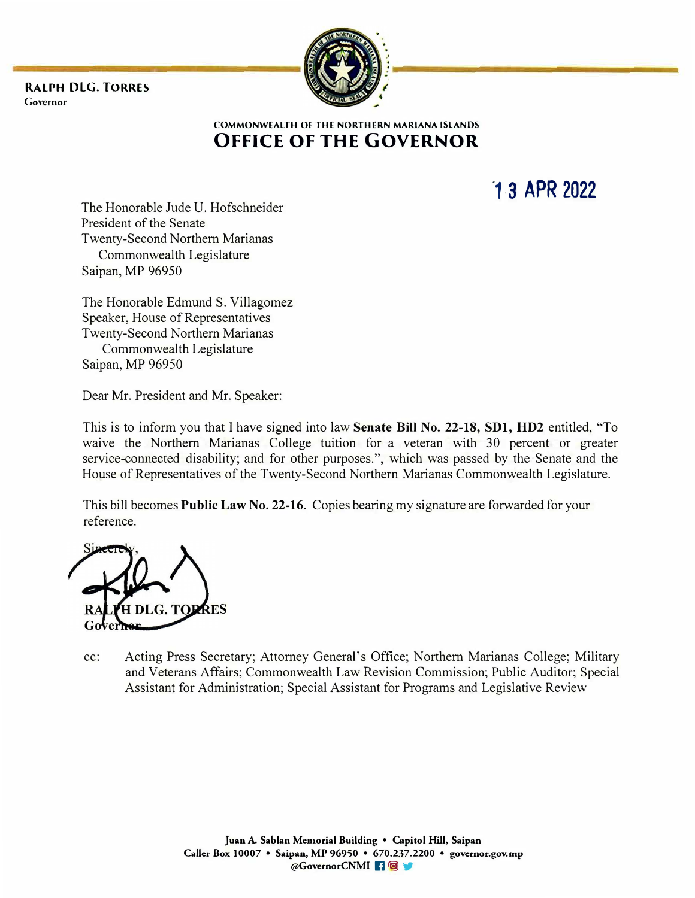**RALPH DLG. TORRES Go,·ernor** 



**COMMONWEALTH OF THE NORTHERN MARIANA ISLANDS OFFICE OF THE GOVERNOR** 

**·1. 3 APR 2022**

The Honorable Jude U. Hofschneider President of the Senate Twenty-Second Northern Marianas Commonwealth Legislature Saipan, MP 96950

The Honorable Edmund S. Villagomez Speaker, House of Representatives Twenty-Second Northern Marianas Commonwealth Legislature Saipan, MP 96950

Dear Mr. President and Mr. Speaker:

This is to inform you that I have signed into law **Senate Bill No. 22-18, SDl, HD2** entitled, "To waive the Northern Marianas College tuition for a veteran with 30 percent or greater service-connected disability; and for other purposes.", which was passed by the Senate and the House of Representatives of the Twenty-Second Northern Marianas Commonwealth Legislature.

This bill becomes **Public Law No. 22-16.** Copies bearing my signature are forwarded for your reference.

**s** 

cc: Acting Press Secretary; Attorney General's Office; Northern Marianas College; Military and Veterans Affairs; Commonwealth Law Revision Commission; Public Auditor; Special Assistant for Administration; Special Assistant for Programs and Legislative Review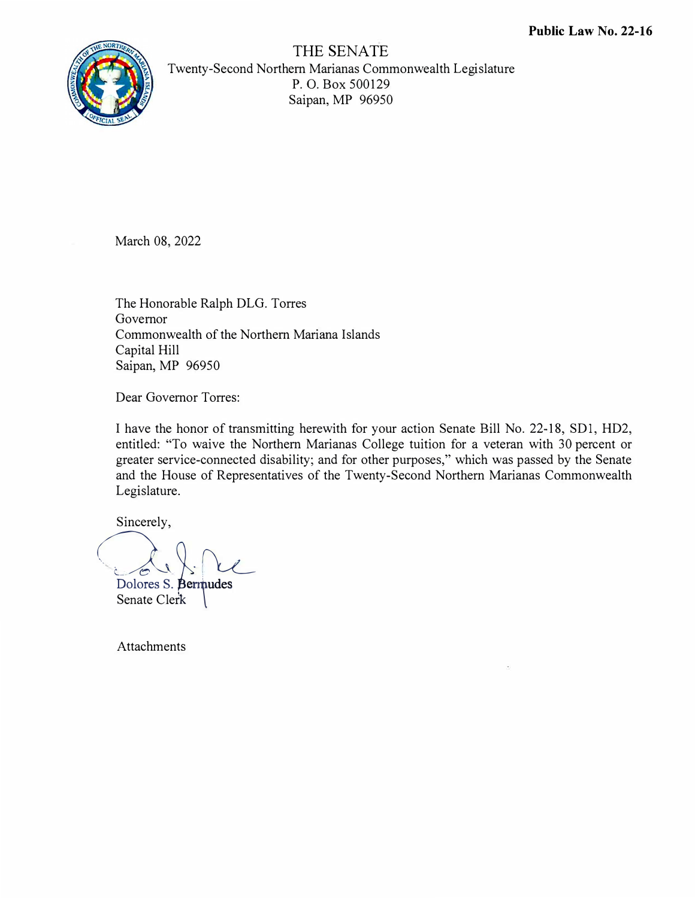

THE SENATE Twenty-Second Northern Marianas Commonwealth Legislat<sup>u</sup>re P. 0. Box 500129 Saipan, MP 96950

March 08, 2022

The Honorable Ralph DLG. Torre<sup>s</sup> Governor Commonwealth of the Northern Mariana Island<sup>s</sup> Capital Hill Saipan, MP 96950

Dear Governor Torres:

I have the honor of transmitting herewith for your action Senate Bill No. 22-18, SD 1, HD2, entitled: "To waive the Northern Marianas Coll<sup>e</sup>ge tuition for a veteran with 30 percent or great<sup>e</sup>r service-connected disability; and for oth<sup>e</sup>r purposes," which was passed by the Senate and the House of R<sup>e</sup>presentatives of the Twenty-Second Northern Marianas Commonwealth Legislat<sup>u</sup>re.

Sinc<sup>e</sup>r<sup>e</sup>ly,

Dolores S. Bernudes

Senate Clerk Bermudes<br>tk

**Attachments**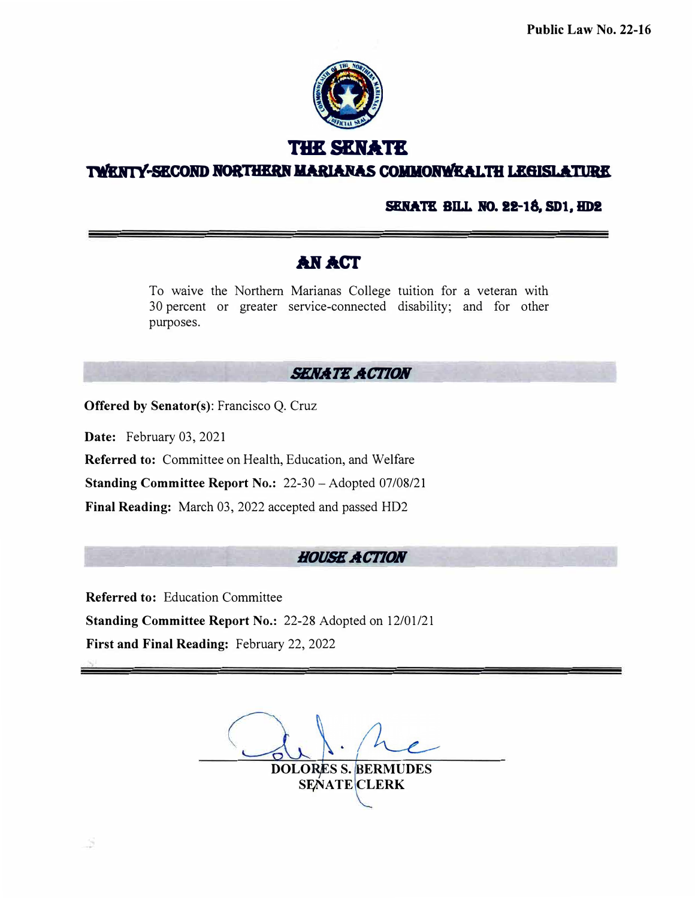

**THE SENATE** 

**TWENTY-SECOND NORTHERN MARIANAS COMMONWEALTH LEGISLATURE** 

## **SENATE BILL NO. 22-18, SD1, HD2**

# **.AN.A.CT**

To waive the Northern Marianas College tuition for a veteran with 30 percent or greater service-connected disability; and for other purposes.

# **SENATE ACTION**

**Offered** by **Senator(s):** Francisco Q. Cruz

**Date:** February 03, 2021

**Referred to:** Committee on Health, Education, and Welfare

**Standing Committee Report No.: 22-30 - Adopted 07/08/21** 

**Final Reading:** March 03, 2022 accepted and passed HD2

# *HOUSE ACTION*

**Referred to:** Education Committee

**Standing Committee Report No.:** 22-28 Adopted on 12/01/21

**First and Final Reading:** February 22, 2022

DOLORES S. BERMUDES SENATE CLERK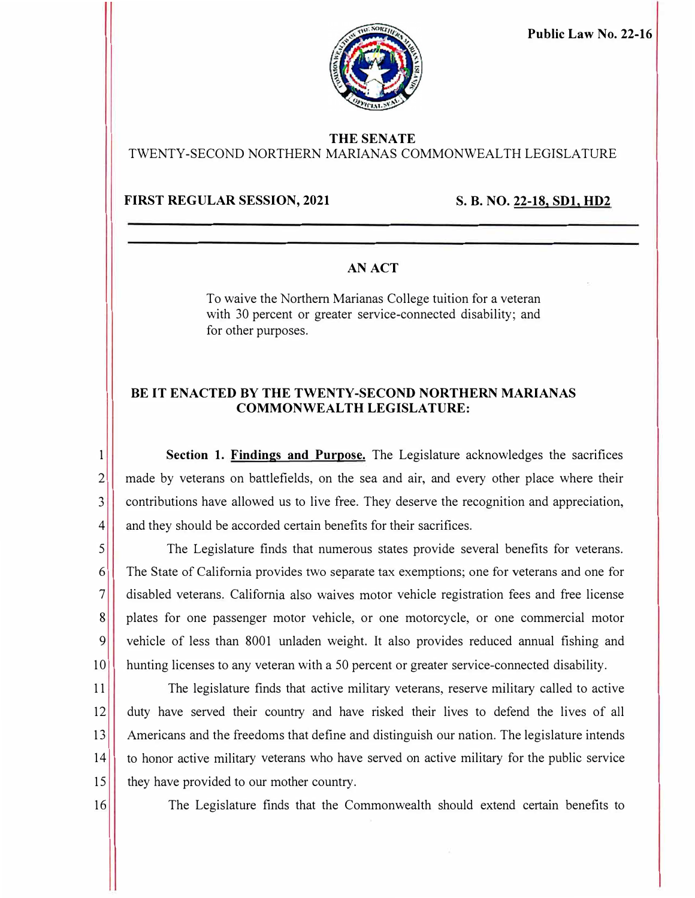

**Public Law No. 22-16** 

# **THE SENATE**

TWENTY-SECOND NORTHERN MARIANAS COMMONWEALTH LEGISLATURE

### **FIRST REGULAR SESSION, 2021** S. B. NO. 22-18, SD1, HD2

# **AN ACT**

To waive the Northern Marianas College tuition for a veteran with 30 percent or greater service-connected disability; and for other purposes.

### **BE IT ENACTED BY THE TWENTY-SECOND NORTHERN MARIANAS COMMONWEALTH LEGISLATURE:**

**1** Section 1. Findings and Purpose. The Legislature acknowledges the sacrifices 2 made by veterans on battlefields, on the sea and air, and every other place where their 3 contributions have allowed us to live free. They deserve the recognition and appreciation, 4 and they should be accorded certain benefits for their sacrifices.

5 The Legislature finds that numerous states provide several benefits for veterans. 6 The State of California provides two separate tax exemptions; one for veterans and one for 7 disabled veterans. Califor<sup>n</sup> ia also waives motor vehicle registration fees and free license 8 plates for one passenger motor vehicle, or one motorcycle, or one commercial motor 9 vehicle of less than 8001 unladen weight. It also provides reduced annual fishing and 10 hunting licenses to any veteran with a 50 percent or greater service-connected disability.

11 The legislature finds that active military veterans, reserve military called to active 12<sup> duty</sup> have served their country and have risked their lives to defend the lives of all 13<sup> Americans and the freedoms that define and distinguish our nation. The legislature intends</sup> 14 to honor active military veterans who have served on active military for the public service 15 they have provided to our mother country.

16 The Legislature finds that the Commonwealth should extend certain benefits to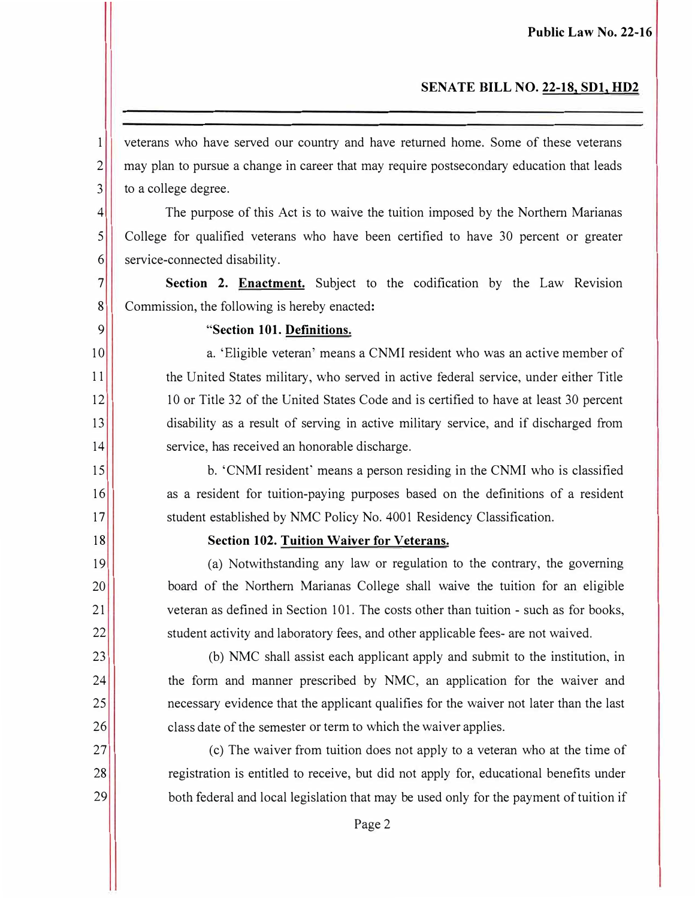## **SENATE BILL NO. 22-18, SDI, HD2**

1 veterans who have served our country and have returned home. Some of these veterans 2<sup>1</sup> may plan to pursue a change in career that may require postsecondary education that leads 3 to a college degree.

<sup>4</sup> The purpose of this Act is to waive the tuition imposed by the Northern Marianas 5 College for qualified veterans who have been certified to have 30 percent or greater 6 service-connected disability.

7 **Section 2. Enactment.** Subject to the codification by the Law Revision 8 Commission, the following is hereby enacted:

9 **"Section 101. Definitions.** 

10

 'Eligible veteran' means a CNMI resident who was an active member of 11 the United States military, who served in active federal service, under either Title 12 10 or Title 32 of the United States Code and is certified to have at least 30 percent 13<sup>1</sup> disability as a result of serving in active military service, and if discharged from 14 service, has received an honorable discharge.

15<sup>1</sup> b. 'CNMI resident' means a person residing in the CNMI who is classified 16 as a resident for tuition-paying purposes based on the definitions of a resident 17 student established by NMC Policy No. 4001 Residency Classification.

#### 18 **Section 102. Tuition Waiver for Veterans.**

19 (a) Notwithstanding any law or regulation to the contrary, the governing 20 board of the Northern Marianas College shall waive the tuition for an eligible 21 veteran as defined in Section 101. The costs other than tuition - such as for books, 22 student activity and laboratory fees, and other applicable fees- are not waived.

23 (b) NMC shall assist each applicant apply and submit to the institution, in 24 **the form and manner prescribed by NMC**, an application for the waiver and 25 **n**ecessary evidence that the applicant qualifies for the waiver not later than the last 26 class date of the semester or term to which the waiver applies.

27 (c) The waiver from tuition does not apply to a veteran who at the time of 28 **Paramele is entitled to receive, but did not apply for, educational benefits under** 29 **both federal and local legislation that may be used only for the payment of tuition if**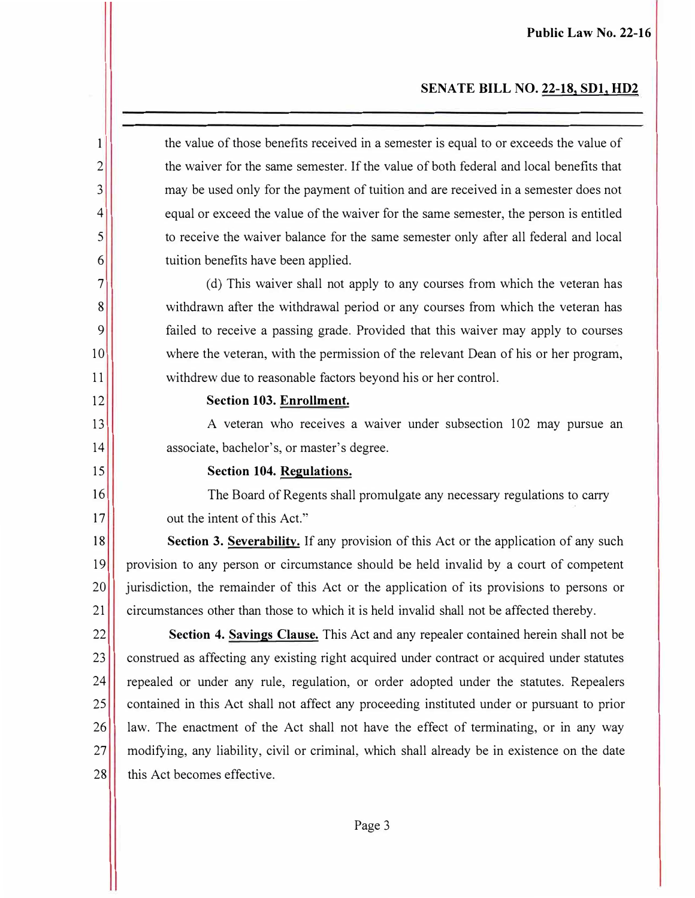#### **SENATE BILL NO. 22-18, SDl, HD2**

1 the value of those benefits received in a semester is equal to or exceeds the value of 2<sup>2</sup> the waiver for the same semester. If the value of both federal and local benefits that 3 may be used only for the payment of tuition and are received in a semester does not <sup>4</sup> equal or exceed the value of the waiver for the same semester, the person is entitled 5 to receive the waiver balance for the same semester only after all federal and local 6 tuition benefits have been applied.

 $7$  (d) This waiver shall not apply to any courses from which the veteran has 8 withdrawn after the withdrawal period or any courses from which the veteran has 9 failed to receive a passing grade. Provided that this waiver may apply to courses 10 where the veteran, with the permission of the relevant Dean of his or her program, 11 withdrew due to reasonable factors beyond his or her control.

#### 12 **Section 103. Enrollment.**

13 A veteran who receives a waiver under subsection 102 may pursue an 14 associate, bachelor's, or master's degree.

#### **15 Section 104. Regulations.**

16 The Board of Regents shall promulgate any necessary regulations to carry 17 out the intent of this Act."

18 **Section 3. Severability.** If any provision of this Act or the application of any such 19 provision to any person or circumstance should be held invalid by a court of competent 20 jurisdiction, the remainder of this Act or the application of its provisions to persons or 21 circumstances other than those to which it is held invalid shall not be affected thereby.

22 **Section 4. Savings Clause.** This Act and any repealer contained herein shall not be 23 construed as affecting any existing right acquired under contract or acquired under statutes 24 repealed or under any rule, regulation, or order adopted under the statutes. Repealers 25 contained in this Act shall not affect any proceeding instituted under or pursuant to prior 26 aw. The enactment of the Act shall not have the effect of terminating, or in any way 27 modifying, any liability, civil or criminal, which shall already be in existence on the date 28 this Act becomes effective.